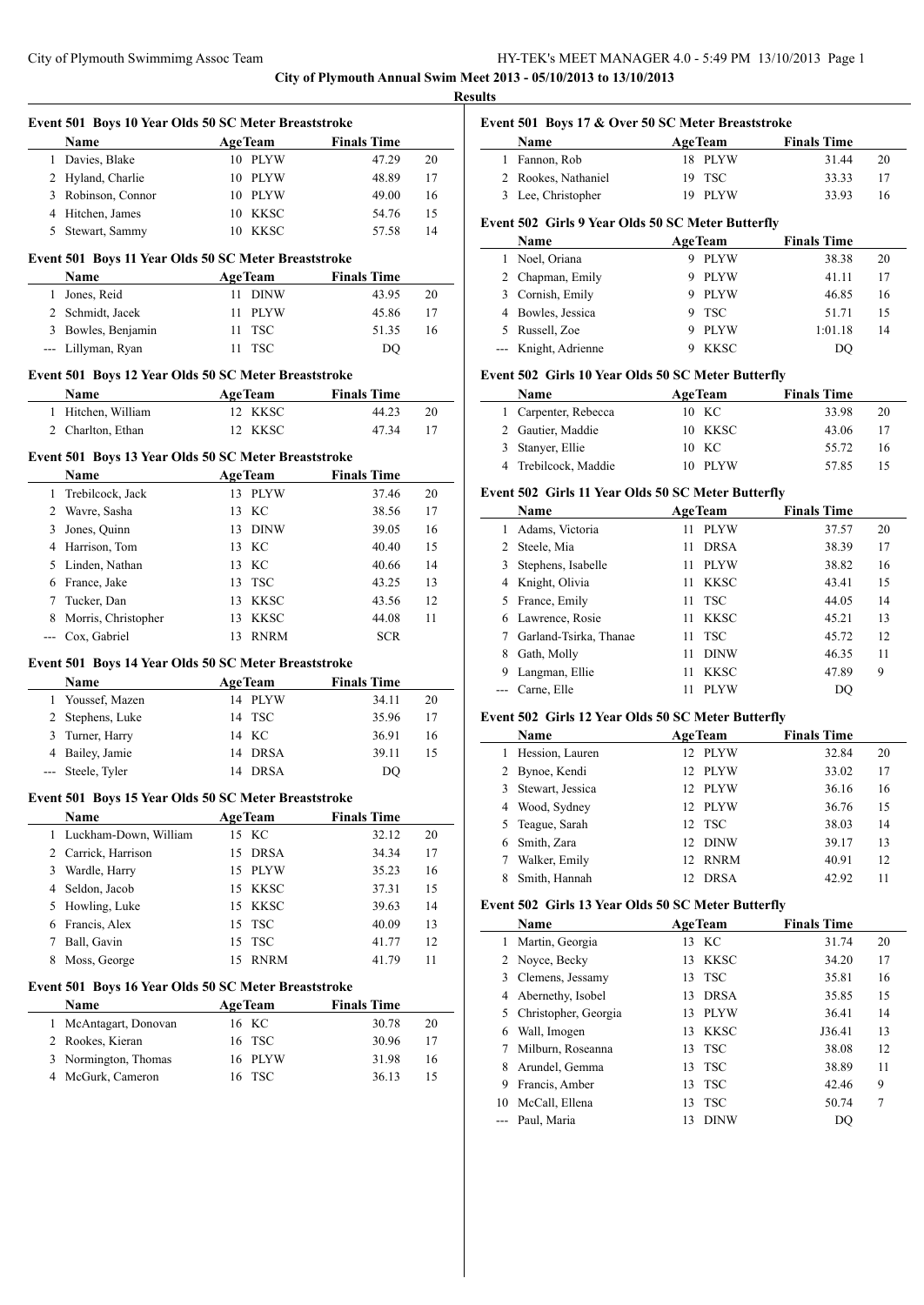**City of Plymouth Annual Swim Meet 2013 - 05/10/2013 to 13/10/2013 Results**

 $\overline{a}$ 

 $\overline{a}$ 

|              | Event 501 Boys 10 Year Olds 50 SC Meter Breaststroke<br>Name | <b>AgeTeam</b>            | <b>Finals Time</b> |          |
|--------------|--------------------------------------------------------------|---------------------------|--------------------|----------|
| 1            | Davies, Blake                                                | 10 PLYW                   | 47.29              | 20       |
| 2            | Hyland, Charlie                                              | 10 PLYW                   | 48.89              | 17       |
| 3            | Robinson, Connor                                             | 10 PLYW                   | 49.00              | 16       |
|              | 4 Hitchen, James                                             | 10 KKSC                   | 54.76              | 15       |
|              | 5 Stewart, Sammy                                             | 10 KKSC                   | 57.58              | 14       |
|              |                                                              |                           |                    |          |
|              | Event 501 Boys 11 Year Olds 50 SC Meter Breaststroke         |                           |                    |          |
|              | Name                                                         | <b>AgeTeam</b>            | <b>Finals Time</b> |          |
|              | 1 Jones, Reid                                                | 11 DINW                   | 43.95              | 20       |
|              | 2 Schmidt, Jacek                                             | 11<br>PLYW                | 45.86              | 17       |
|              | 3 Bowles, Benjamin                                           | <b>TSC</b><br>11          | 51.35              | 16       |
|              | --- Lillyman, Ryan                                           | 11 TSC                    | DQ                 |          |
|              | Event 501 Boys 12 Year Olds 50 SC Meter Breaststroke         |                           |                    |          |
|              | Name                                                         | <b>AgeTeam</b>            | <b>Finals Time</b> |          |
| $\mathbf{1}$ | Hitchen, William                                             | 12 KKSC                   | 44.23              | 20       |
|              | 2 Charlton, Ethan                                            | 12<br>KKSC                | 47.34              | 17       |
|              | Event 501 Boys 13 Year Olds 50 SC Meter Breaststroke         |                           |                    |          |
|              | Name                                                         | <b>AgeTeam</b>            | <b>Finals Time</b> |          |
| 1            | Trebilcock, Jack                                             | 13 PLYW                   | 37.46              | 20       |
| 2            | Wavre, Sasha                                                 | КC<br>13                  | 38.56              | 17       |
| 3            | Jones, Quinn                                                 | 13 DINW                   | 39.05              | 16       |
|              | 4 Harrison, Tom                                              | 13 KC                     | 40.40              | 15       |
|              | 5 Linden, Nathan                                             | 13 KC                     | 40.66              | 14       |
|              | 6 France, Jake                                               | 13 TSC                    | 43.25              | 13       |
|              | 7 Tucker, Dan                                                | <b>KKSC</b><br>13         | 43.56              | 12       |
| 8            | Morris, Christopher                                          | 13<br>KKSC                | 44.08              | 11       |
|              | --- Cox, Gabriel                                             | 13 RNRM                   | <b>SCR</b>         |          |
|              |                                                              |                           |                    |          |
|              | Event 501 Boys 14 Year Olds 50 SC Meter Breaststroke<br>Name |                           | <b>Finals Time</b> |          |
| $\mathbf{1}$ | Youssef, Mazen                                               | <b>AgeTeam</b><br>14 PLYW | 34.11              | 20       |
| 2            | Stephens, Luke                                               | 14 TSC                    | 35.96              | 17       |
| 3            | Turner, Harry                                                | 14 KC                     | 36.91              | 16       |
|              | 4 Bailey, Jamie                                              | 14 DRSA                   | 39.11              | 15       |
|              | --- Steele, Tyler                                            | 14 DRSA                   | DQ                 |          |
|              |                                                              |                           |                    |          |
|              | Event 501 Boys 15 Year Olds 50 SC Meter Breaststroke         |                           |                    |          |
|              | <b>Name</b>                                                  | <b>AgeTeam</b>            | <b>Finals Time</b> |          |
| $\mathbf{1}$ | Luckham-Down, William                                        | KC<br>15                  | 32.12              | 20       |
| 2            | Carrick, Harrison                                            | 15<br><b>DRSA</b>         | 34.34              | 17       |
| 3            | Wardle, Harry                                                | <b>PLYW</b><br>15         | 35.23              | 16       |
| 4            | Seldon, Jacob                                                | <b>KKSC</b><br>15         | 37.31              | 15       |
| 5            | Howling, Luke                                                | <b>KKSC</b><br>15         | 39.63              | 14       |
| 6            | Francis, Alex                                                | <b>TSC</b><br>15          | 40.09              | 13       |
| 7            | Ball, Gavin                                                  | TSC<br>15                 | 41.77              | 12       |
| 8            | Moss, George                                                 | <b>RNRM</b><br>15         | 41.79              | 11       |
|              | Event 501 Boys 16 Year Olds 50 SC Meter Breaststroke         |                           |                    |          |
|              | Name                                                         | <b>AgeTeam</b>            | <b>Finals Time</b> |          |
|              |                                                              | 16 KC                     | 30.78              | 20       |
| 1            | McAntagart, Donovan                                          |                           |                    |          |
| 2            | Rookes, Kieran                                               | TSC<br>16                 | 30.96              |          |
| 3            | Normington, Thomas                                           | <b>PLYW</b><br>16         | 31.98              | 17<br>16 |

# **Event 501 Boys 17 & Over 50 SC Meter Breaststroke**

| <b>Name</b>         | <b>AgeTeam</b> | <b>Finals Time</b> |    |
|---------------------|----------------|--------------------|----|
| 1 Fannon, Rob       | 18 PLYW        | 31 44              | 20 |
| 2 Rookes, Nathaniel | 19 TSC         | 33 33              | 17 |
| 3 Lee, Christopher  | 19 PLYW        | 33.93              | 16 |

### **Event 502 Girls 9 Year Olds 50 SC Meter Butterfly**

| Name                 | <b>AgeTeam</b> |             | <b>Finals Time</b> |    |
|----------------------|----------------|-------------|--------------------|----|
| 1 Noel, Oriana       | 9              | PLYW        | 38.38              | 20 |
| 2 Chapman, Emily     | 9              | PLYW        | 41.11              | 17 |
| 3 Cornish, Emily     | 9              | <b>PLYW</b> | 46.85              | 16 |
| 4 Bowles, Jessica    |                | 9 TSC       | 51.71              | 15 |
| 5 Russell, Zoe       | 9              | <b>PLYW</b> | 1:01.18            | 14 |
| --- Knight, Adrienne |                | <b>KKSC</b> | DO                 |    |

### **Event 502 Girls 10 Year Olds 50 SC Meter Butterfly**

| <b>Name</b>          | <b>AgeTeam</b> | <b>Finals Time</b> |    |
|----------------------|----------------|--------------------|----|
| 1 Carpenter, Rebecca | 10 KC          | 33.98              | 20 |
| 2 Gautier, Maddie    | 10 KKSC        | 43.06              | 17 |
| 3 Stanyer, Ellie     | 10 KC          | 55.72              | 16 |
| 4 Trebilcock, Maddie | 10 PLYW        | 57.85              |    |

#### **Event 502 Girls 11 Year Olds 50 SC Meter Butterfly**

|    | Name                   | <b>AgeTeam</b>    | <b>Finals Time</b> |    |
|----|------------------------|-------------------|--------------------|----|
|    | Adams, Victoria        | <b>PLYW</b><br>11 | 37.57              | 20 |
|    | Steele, Mia            | <b>DRSA</b><br>11 | 38.39              | 17 |
| 3  | Stephens, Isabelle     | <b>PLYW</b><br>11 | 38.82              | 16 |
| 4  | Knight, Olivia         | <b>KKSC</b><br>11 | 43.41              | 15 |
| 5. | France, Emily          | <b>TSC</b><br>11  | 44.05              | 14 |
| 6  | Lawrence, Rosie        | <b>KKSC</b><br>11 | 45.21              | 13 |
|    | Garland-Tsirka, Thanae | <b>TSC</b><br>11  | 45.72              | 12 |
| 8  | Gath, Molly            | <b>DINW</b><br>11 | 46.35              | 11 |
| 9  | Langman, Ellie         | <b>KKSC</b><br>11 | 47.89              | 9  |
|    | Carne, Elle            | <b>PLYW</b><br>11 | DO                 |    |

## **Event 502 Girls 12 Year Olds 50 SC Meter Butterfly**

|   | Name             | <b>AgeTeam</b>     | <b>Finals Time</b> |    |
|---|------------------|--------------------|--------------------|----|
|   | Hession, Lauren  | 12 PLYW            | 32.84              | 20 |
| 2 | Bynoe, Kendi     | 12 PLYW            | 33.02              | 17 |
|   | Stewart, Jessica | 12 PLYW            | 36.16              | 16 |
|   | 4 Wood, Sydney   | 12 PLYW            | 36.76              | 15 |
|   | 5 Teague, Sarah  | 12 TSC             | 38.03              | 14 |
|   | Smith, Zara      | 12 DINW            | 39.17              | 13 |
|   | Walker, Emily    | 12 RNRM            | 40.91              | 12 |
|   | Smith, Hannah    | <b>DRSA</b><br>12. | 42.92              | 11 |

### **Event 502 Girls 13 Year Olds 50 SC Meter Butterfly**

|    | Name                   | <b>AgeTeam</b>    | <b>Finals Time</b> |    |
|----|------------------------|-------------------|--------------------|----|
| 1  | Martin, Georgia        | 13 KC             | 31.74              | 20 |
|    | 2 Noyce, Becky         | <b>KKSC</b><br>13 | 34.20              | 17 |
|    | 3 Clemens, Jessamy     | 13 TSC            | 35.81              | 16 |
|    | 4 Abernethy, Isobel    | DRSA<br>13        | 35.85              | 15 |
|    | 5 Christopher, Georgia | <b>PLYW</b><br>13 | 36.41              | 14 |
| 6  | Wall, Imogen           | KKSC<br>13        | J36.41             | 13 |
|    | Milburn, Roseanna      | TSC<br>13         | 38.08              | 12 |
| 8  | Arundel, Gemma         | TSC<br>13         | 38.89              | 11 |
| 9  | Francis, Amber         | - TSC<br>13       | 42.46              | 9  |
| 10 | McCall, Ellena         | <b>TSC</b><br>13  | 50.74              |    |
|    | Paul, Maria            | <b>DINW</b><br>13 | DO                 |    |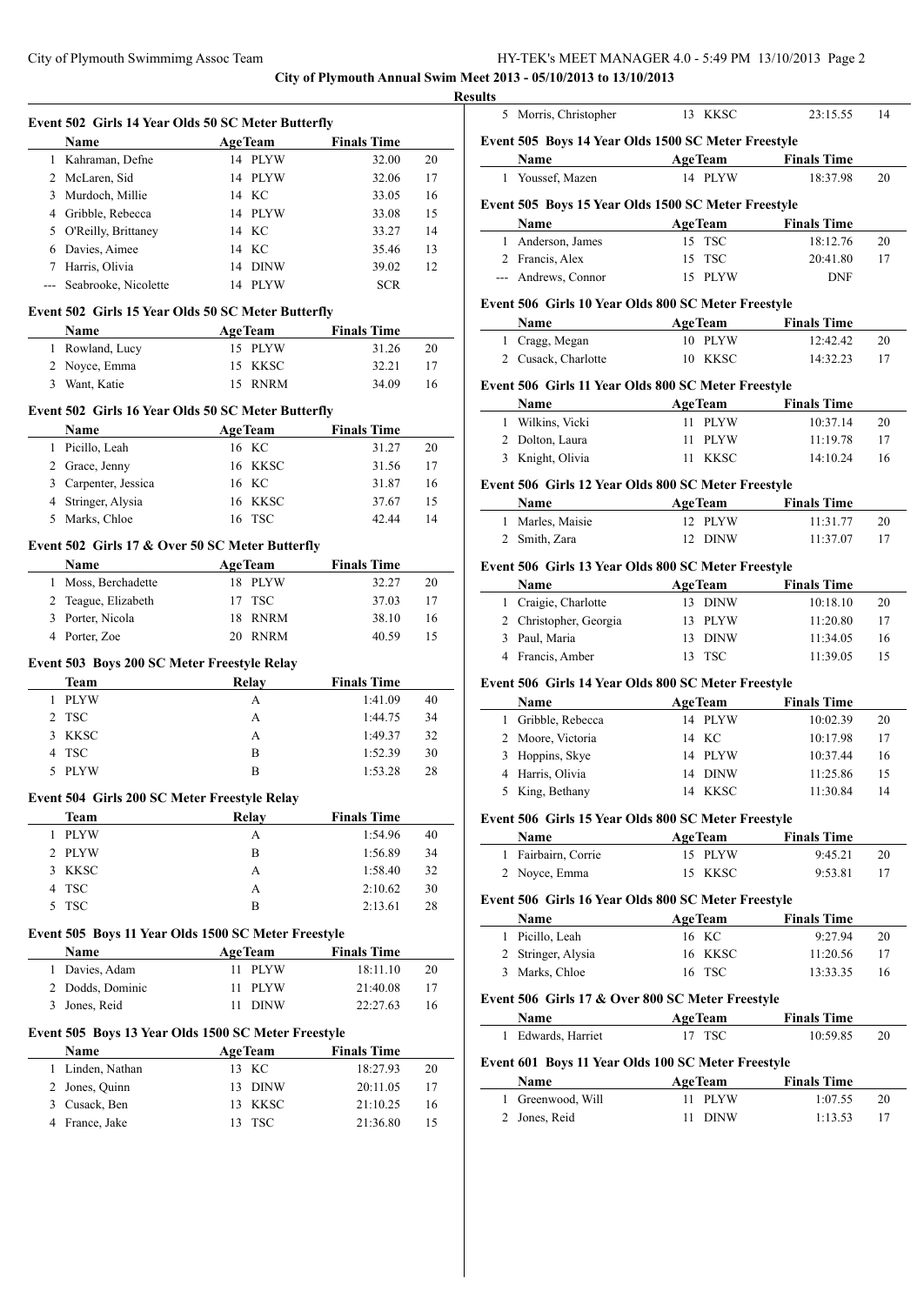**City of Plymouth Annual Swim Meet** 

|                | Event 502 Girls 14 Year Olds 50 SC Meter Butterfly          |                                       |                      |          |
|----------------|-------------------------------------------------------------|---------------------------------------|----------------------|----------|
|                | Name                                                        | <b>AgeTeam</b>                        | <b>Finals Time</b>   |          |
|                | 1 Kahraman, Defne                                           | 14 PLYW                               | 32.00                | 20       |
|                | 2 McLaren, Sid                                              | 14 PLYW                               | 32.06                | 17       |
| 3              | Murdoch, Millie                                             | 14 KC                                 | 33.05                | 16       |
| 4              | Gribble, Rebecca                                            | 14 PLYW                               | 33.08                | 15       |
| 5              | O'Reilly, Brittaney                                         | 14 KC                                 | 33.27                | 14       |
| 6              | Davies, Aimee                                               | 14 KC                                 | 35.46                | 13       |
|                | 7 Harris, Olivia                                            | 14 DINW                               | 39.02                | 12       |
|                | --- Seabrooke, Nicolette                                    | 14 PLYW                               | <b>SCR</b>           |          |
|                | Event 502 Girls 15 Year Olds 50 SC Meter Butterfly          |                                       |                      |          |
|                | Name                                                        | <b>AgeTeam</b>                        | <b>Finals Time</b>   |          |
|                | 1 Rowland, Lucy                                             | 15 PLYW                               | 31.26                | 20       |
| 2              | Noyce, Emma                                                 | 15 KKSC                               | 32.21                | 17       |
| 3              | Want, Katie                                                 | <b>RNRM</b><br>15                     | 34.09                | 16       |
|                | Event 502 Girls 16 Year Olds 50 SC Meter Butterfly          |                                       |                      |          |
|                | Name                                                        | <b>AgeTeam</b>                        | <b>Finals Time</b>   |          |
|                | 1 Picillo, Leah                                             | 16 KC                                 | 31.27                | 20       |
| 2              | Grace, Jenny                                                | 16 KKSC                               | 31.56                | 17       |
| 3              | Carpenter, Jessica                                          | 16 KC                                 | 31.87                | 16       |
| 4              | Stringer, Alysia                                            | 16 KKSC                               | 37.67                | 15       |
| 5              | Marks, Chloe                                                | 16 TSC                                | 42.44                | 14       |
|                |                                                             |                                       |                      |          |
|                | Event 502 Girls 17 & Over 50 SC Meter Butterfly             |                                       |                      |          |
|                | Name                                                        | AgeTeam                               | <b>Finals Time</b>   |          |
| 1              | Moss, Berchadette                                           | 18 PLYW                               | 32.27                | 20       |
| 2              | Teague, Elizabeth                                           | 17<br><b>TSC</b>                      | 37.03                | 17       |
| 3              | Porter, Nicola                                              | <b>RNRM</b><br>18                     | 38.10                | 16       |
|                | 4 Porter, Zoe                                               | 20 RNRM                               | 40.59                | 15       |
|                | Event 503 Boys 200 SC Meter Freestyle Relay                 |                                       |                      |          |
|                | <b>Team</b>                                                 | Relay                                 | <b>Finals Time</b>   |          |
|                | 1 PLYW                                                      | A                                     | 1:41.09              | 40       |
| $\overline{2}$ | <b>TSC</b>                                                  | A                                     | 1:44.75              | 34       |
| 3              | <b>KKSC</b>                                                 | A                                     | 1:49.37              | 32       |
| 4              | <b>TSC</b>                                                  | B                                     | 1:52.39              | 30       |
|                | 5 PLYW                                                      | B                                     | 1:53.28              | 28       |
|                | Event 504 Girls 200 SC Meter Freestyle Relay                |                                       |                      |          |
|                | <u>Team</u>                                                 | Relay                                 | <b>Finals Time</b>   |          |
| 1              | <b>PLYW</b>                                                 | A                                     | 1:54.96              | 40       |
| 2              | <b>PLYW</b>                                                 | B                                     | 1:56.89              | 34       |
| 3              | KKSC                                                        | A                                     | 1:58.40              | 32       |
| 4              | <b>TSC</b>                                                  | A                                     | 2:10.62              | 30       |
| 5              | <b>TSC</b>                                                  | B                                     | 2:13.61              | 28       |
|                |                                                             |                                       |                      |          |
|                | Event 505 Boys 11 Year Olds 1500 SC Meter Freestyle<br>Name | <b>AgeTeam</b>                        | <b>Finals Time</b>   |          |
| 1              | Davies, Adam                                                | <b>PLYW</b><br>11                     | 18:11.10             | 20       |
| 2              | Dodds, Dominic                                              | 11<br><b>PLYW</b>                     | 21:40.08             | 17       |
| 3              | Jones, Reid                                                 | 11<br><b>DINW</b>                     | 22:27.63             | 16       |
|                |                                                             |                                       |                      |          |
|                | Event 505 Boys 13 Year Olds 1500 SC Meter Freestyle         |                                       |                      |          |
|                | Name                                                        | <b>AgeTeam</b>                        | <b>Finals Time</b>   |          |
| 1              | Linden, Nathan                                              | KC<br>13                              | 18:27.93             | 20       |
| 2              | Jones, Quinn                                                | <b>DINW</b><br>13                     | 20:11.05             | 17       |
| 3<br>4         | Cusack, Ben<br>France, Jake                                 | <b>KKSC</b><br>13<br><b>TSC</b><br>13 | 21:10.25<br>21:36.80 | 16<br>15 |
|                |                                                             |                                       |                      |          |

|              | 5 Morris, Christopher                                       | 13 KKSC            | 23:15.55             | 14                         |
|--------------|-------------------------------------------------------------|--------------------|----------------------|----------------------------|
|              | Event 505 Boys 14 Year Olds 1500 SC Meter Freestyle         |                    |                      |                            |
|              | Name                                                        | <b>AgeTeam</b>     | <b>Finals Time</b>   |                            |
|              | 1 Youssef, Mazen                                            | 14 PLYW            | 18:37.98             | 20                         |
|              |                                                             |                    |                      |                            |
|              | Event 505 Boys 15 Year Olds 1500 SC Meter Freestyle         |                    |                      |                            |
|              | Name                                                        | <b>AgeTeam</b>     | <b>Finals Time</b>   |                            |
|              | 1 Anderson, James                                           | 15 TSC             | 18:12.76             | 20                         |
|              | 2 Francis, Alex                                             | 15 TSC             | 20:41.80             | 17                         |
|              | --- Andrews, Connor                                         | 15 PLYW            | <b>DNF</b>           |                            |
|              | Event 506 Girls 10 Year Olds 800 SC Meter Freestyle         |                    |                      |                            |
|              | Name                                                        | <b>AgeTeam</b>     | <b>Finals Time</b>   |                            |
|              | 1 Cragg, Megan                                              | 10 PLYW            | 12:42.42             | 20                         |
|              | 2 Cusack, Charlotte                                         | 10 KKSC            | 14:32.23             | 17                         |
|              |                                                             |                    |                      |                            |
|              | Event 506 Girls 11 Year Olds 800 SC Meter Freestyle         |                    |                      |                            |
|              | Name                                                        | <b>AgeTeam</b>     | <b>Finals Time</b>   |                            |
|              | 1 Wilkins, Vicki<br>2 Dolton, Laura                         | 11 PLYW            | 10:37.14             | 20                         |
|              |                                                             | 11 PLYW<br>11 KKSC | 11:19.78<br>14:10.24 | 17                         |
|              | 3 Knight, Olivia                                            |                    |                      | 16                         |
|              | Event 506 Girls 12 Year Olds 800 SC Meter Freestyle         |                    |                      |                            |
|              | Name                                                        | <b>AgeTeam</b>     | <b>Finals Time</b>   |                            |
|              | 1 Marles, Maisie                                            | 12 PLYW            | 11:31.77             | 20                         |
|              | 2 Smith, Zara                                               | 12 DINW            | 11:37.07             | 17                         |
|              | Event 506 Girls 13 Year Olds 800 SC Meter Freestyle         |                    |                      |                            |
|              | Name                                                        | <b>AgeTeam</b>     | <b>Finals Time</b>   |                            |
|              | 1 Craigie, Charlotte                                        | 13 DINW            | 10:18.10             | 20                         |
|              | 2 Christopher, Georgia                                      | 13 PLYW            | 11:20.80             | 17                         |
|              | 3 Paul, Maria                                               | 13 DINW            | 11:34.05             | 16                         |
|              | 4 Francis, Amber                                            |                    |                      |                            |
|              |                                                             |                    |                      |                            |
|              |                                                             | 13 TSC             | 11:39.05             |                            |
|              | Event 506 Girls 14 Year Olds 800 SC Meter Freestyle         |                    |                      |                            |
|              | Name                                                        | <b>AgeTeam</b>     | <b>Finals Time</b>   |                            |
|              | 1 Gribble, Rebecca                                          | 14 PLYW            | 10:02.39             |                            |
|              | 2 Moore, Victoria                                           | 14 KC              | 10:17.98             |                            |
|              | 3 Hoppins, Skye                                             | 14 PLYW            | 10:37.44             |                            |
|              | 4 Harris, Olivia                                            | 14 DINW            | 11:25.86             | 15<br>20<br>17<br>16<br>15 |
|              | 5 King, Bethany                                             | 14 KKSC            | 11:30.84             |                            |
|              |                                                             |                    |                      |                            |
|              | Event 506 Girls 15 Year Olds 800 SC Meter Freestyle<br>Name | <b>AgeTeam</b>     | <b>Finals Time</b>   |                            |
|              | 1 Fairbairn, Corrie                                         | 15 PLYW            | 9:45.21              |                            |
|              | 2 Noyce, Emma                                               | 15 KKSC            | 9:53.81              |                            |
|              |                                                             |                    |                      |                            |
|              | Event 506 Girls 16 Year Olds 800 SC Meter Freestyle         |                    |                      |                            |
|              | Name                                                        | <b>AgeTeam</b>     | <b>Finals Time</b>   |                            |
|              | 1 Picillo, Leah                                             | 16 KC              | 9:27.94              |                            |
|              | 2 Stringer, Alysia                                          | 16 KKSC            | 11:20.56             | 14<br>20<br>17<br>20<br>17 |
|              | 3 Marks, Chloe                                              | 16 TSC             | 13:33.35             | 16                         |
|              | Event 506 Girls 17 & Over 800 SC Meter Freestyle            |                    |                      |                            |
|              | Name                                                        | <b>AgeTeam</b>     | <b>Finals Time</b>   |                            |
| 1            | Edwards, Harriet                                            | 17 TSC             | 10:59.85             |                            |
|              |                                                             |                    |                      |                            |
|              | Event 601 Boys 11 Year Olds 100 SC Meter Freestyle          |                    |                      |                            |
|              | Name                                                        | <b>AgeTeam</b>     | <b>Finals Time</b>   |                            |
| $\mathbf{1}$ | Greenwood, Will<br>2 Jones, Reid                            | 11 PLYW<br>11 DINW | 1:07.55<br>1:13.53   | 20<br>20<br>17             |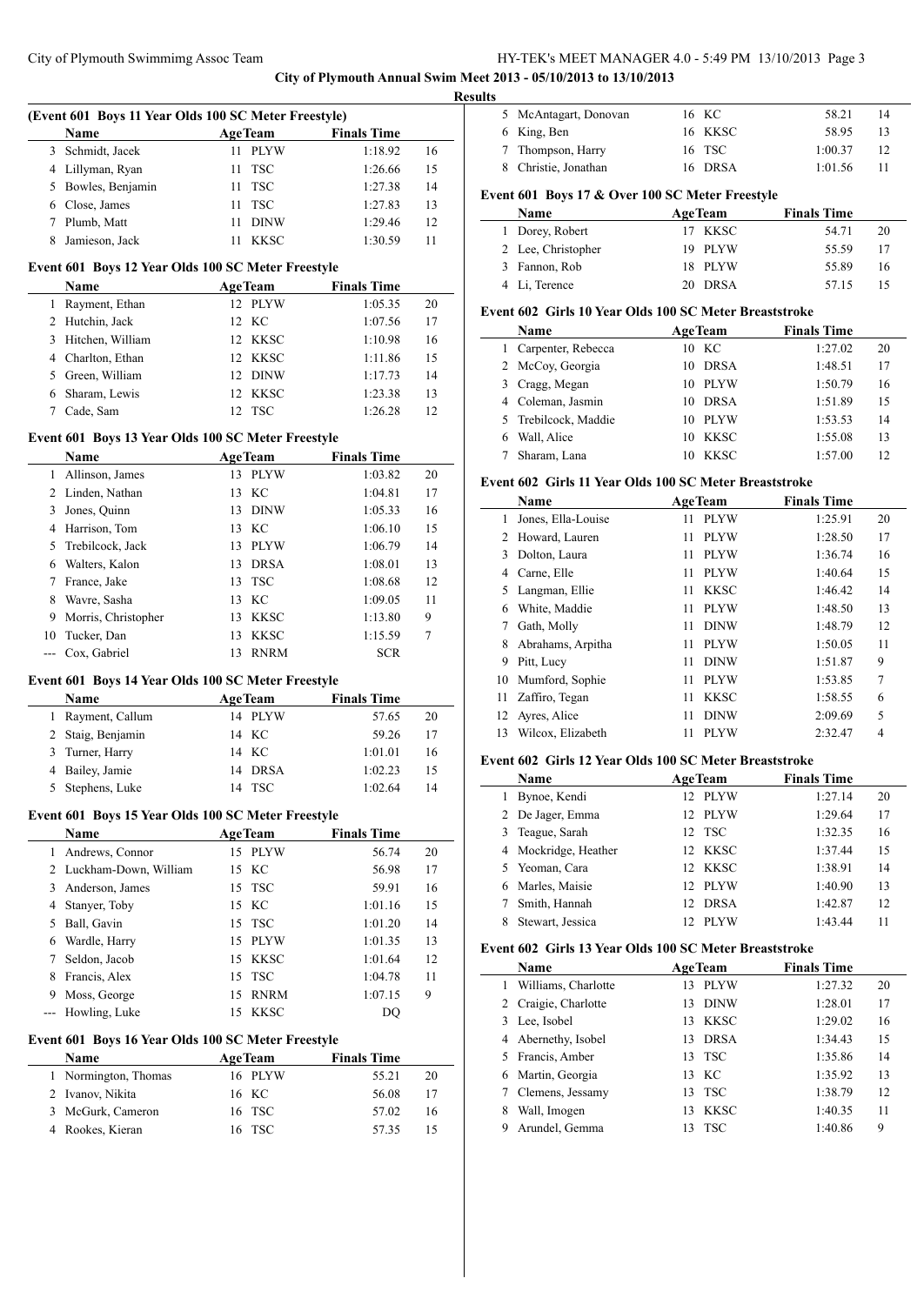**City of Plymouth Annual Swim Meet 2013 - 05/10/2013 to 13/10/2013**

|     | (Event 601 Boys 11 Year Olds 100 SC Meter Freestyle) |                   |                    |    |
|-----|------------------------------------------------------|-------------------|--------------------|----|
|     | Name                                                 | <b>AgeTeam</b>    | <b>Finals Time</b> |    |
|     | 3 Schmidt, Jacek                                     | <b>PLYW</b><br>11 | 1:18.92            | 16 |
|     | 4 Lillyman, Ryan                                     | <b>TSC</b><br>11  | 1:26.66            | 15 |
|     | 5 Bowles, Benjamin                                   | <b>TSC</b><br>11  | 1:27.38            | 14 |
|     | 6 Close, James                                       | <b>TSC</b><br>11  | 1:27.83            | 13 |
|     | 7 Plumb, Matt                                        | <b>DINW</b><br>11 | 1:29.46            | 12 |
| 8   | Jamieson, Jack                                       | 11 KKSC           | 1:30.59            | 11 |
|     |                                                      |                   |                    |    |
|     | Event 601 Boys 12 Year Olds 100 SC Meter Freestyle   |                   |                    |    |
|     | Name                                                 | <b>AgeTeam</b>    | <b>Finals Time</b> |    |
|     | 1 Rayment, Ethan                                     | 12 PLYW           | 1:05.35            | 20 |
|     | 2 Hutchin, Jack                                      | 12 KC             | 1:07.56            | 17 |
|     | 3 Hitchen, William                                   | 12 KKSC           | 1:10.98            | 16 |
|     | 4 Charlton, Ethan                                    | 12 KKSC           | 1:11.86            | 15 |
|     | 5 Green, William                                     | 12 DINW           | 1:17.73            | 14 |
|     | 6 Sharam, Lewis                                      | 12 KKSC           | 1:23.38            | 13 |
| 7   | Cade, Sam                                            | 12 TSC            | 1:26.28            | 12 |
|     | Event 601 Boys 13 Year Olds 100 SC Meter Freestyle   |                   |                    |    |
|     | Name                                                 | <b>AgeTeam</b>    | <b>Finals Time</b> |    |
| 1   | Allinson, James                                      | 13 PLYW           | 1:03.82            | 20 |
|     | 2 Linden, Nathan                                     | KC<br>13          | 1:04.81            | 17 |
|     | 3 Jones, Quinn                                       | 13 DINW           | 1:05.33            | 16 |
|     | 4 Harrison, Tom                                      | 13 KC             | 1:06.10            | 15 |
|     | 5 Trebilcock, Jack                                   | 13 PLYW           | 1:06.79            | 14 |
|     | 6 Walters, Kalon                                     | <b>DRSA</b><br>13 | 1:08.01            | 13 |
|     | 7 France, Jake                                       | <b>TSC</b><br>13  | 1:08.68            | 12 |
| 8   | Wavre, Sasha                                         | 13 KC             |                    | 11 |
|     |                                                      |                   | 1:09.05            |    |
| 9   | Morris, Christopher                                  | 13 KKSC           | 1:13.80            | 9  |
| 10  | Tucker, Dan                                          | 13<br><b>KKSC</b> | 1:15.59            | 7  |
|     |                                                      |                   | <b>SCR</b>         |    |
| --- | Cox, Gabriel                                         | 13<br><b>RNRM</b> |                    |    |
|     | Event 601 Boys 14 Year Olds 100 SC Meter Freestyle   |                   |                    |    |
|     | <b>Name</b>                                          | <b>AgeTeam</b>    | <b>Finals Time</b> |    |
| 1   | Rayment, Callum                                      | 14 PLYW           | 57.65              | 20 |
| 2   | Staig, Benjamin                                      | 14 KC             | 59.26              | 17 |
| 3   | Turner, Harry                                        | 14 KC             | 1:01.01            | 16 |
|     | 4 Bailey, Jamie                                      | 14 DRSA           | 1:02.23            | 15 |
|     | 5 Stephens, Luke                                     | 14 TSC            | 1:02.64            | 14 |
|     |                                                      |                   |                    |    |
|     | Event 601 Boys 15 Year Olds 100 SC Meter Freestyle   |                   |                    |    |
|     | <b>Name</b>                                          | <b>AgeTeam</b>    | <b>Finals Time</b> |    |
|     | 1 Andrews, Connor                                    | 15 PLYW           | 56.74              | 20 |
|     | 2 Luckham-Down, William                              | 15 KC             | 56.98              | 17 |
|     | 3 Anderson, James                                    | <b>TSC</b><br>15  | 59.91              | 16 |
|     | 4 Stanyer, Toby                                      | 15 KC             | 1:01.16            | 15 |
|     | 5 Ball, Gavin                                        | 15<br><b>TSC</b>  | 1:01.20            | 14 |
| 6   | Wardle, Harry                                        | <b>PLYW</b><br>15 | 1:01.35            | 13 |
| 7   | Seldon, Jacob                                        | <b>KKSC</b><br>15 | 1:01.64            | 12 |
| 8   | Francis, Alex                                        | 15<br><b>TSC</b>  | 1:04.78            | 11 |
|     | 9 Moss, George                                       | <b>RNRM</b><br>15 | 1:07.15            | 9  |
| --- | Howling, Luke                                        | <b>KKSC</b><br>15 | DQ                 |    |
|     | Event 601 Boys 16 Year Olds 100 SC Meter Freestyle   |                   |                    |    |
|     | Name                                                 | <b>AgeTeam</b>    | <b>Finals Time</b> |    |
|     | 1 Normington, Thomas                                 | 16 PLYW           | 55.21              | 20 |
|     | 2 Ivanov, Nikita                                     | 16 KC             | 56.08              | 17 |
| 3   | McGurk, Cameron                                      | <b>TSC</b><br>16  | 57.02              | 16 |

| 5 McAntagart, Donovan | 16 KC   | 58.21   | 14 |  |
|-----------------------|---------|---------|----|--|
| 6 King, Ben           | 16 KKSC | 58.95   | 13 |  |
| 7 Thompson, Harry     | 16 TSC  | 1:00.37 | 12 |  |
| 8 Christie, Jonathan  | 16 DRSA | 1:01.56 | 11 |  |
|                       |         |         |    |  |

# **Event 601 Boys 17 & Over 100 SC Meter Freestyle**

| Name               | <b>AgeTeam</b> | <b>Finals Time</b> |    |
|--------------------|----------------|--------------------|----|
| 1 Dorey, Robert    | 17 KKSC        | 54.71              | 20 |
| 2 Lee, Christopher | 19 PLYW        | 55.59              | 17 |
| 3 Fannon, Rob      | 18 PLYW        | 55.89              | 16 |
| 4 Li, Terence      | 20 DRSA        | 57 15              |    |

## **Event 602 Girls 10 Year Olds 100 SC Meter Breaststroke**

| <b>Name</b>          | <b>AgeTeam</b> |             | <b>Finals Time</b> |    |
|----------------------|----------------|-------------|--------------------|----|
| 1 Carpenter, Rebecca | $10$ KC        |             | 1:27.02            | 20 |
| 2 McCoy, Georgia     | 10             | <b>DRSA</b> | 1:48.51            | 17 |
| 3 Cragg, Megan       | 10             | <b>PLYW</b> | 1:50.79            | 16 |
| 4 Coleman, Jasmin    | 10             | <b>DRSA</b> | 1:51.89            | 15 |
| 5 Trebilcock, Maddie | 10             | <b>PLYW</b> | 1:53.53            | 14 |
| Wall, Alice          | 10             | <b>KKSC</b> | 1:55.08            | 13 |
| Sharam, Lana         |                | <b>KKSC</b> | 1:57.00            | 12 |

#### **Event 602 Girls 11 Year Olds 100 SC Meter Breaststroke**

|    | Name               |    | <b>AgeTeam</b> | <b>Finals Time</b> |         |    |
|----|--------------------|----|----------------|--------------------|---------|----|
| 1  | Jones, Ella-Louise | 11 | <b>PLYW</b>    |                    | 1:25.91 | 20 |
| 2  | Howard, Lauren     | 11 | <b>PLYW</b>    |                    | 1:28.50 | 17 |
| 3  | Dolton, Laura      | 11 | <b>PLYW</b>    |                    | 1:36.74 | 16 |
| 4  | Carne, Elle        | 11 | <b>PLYW</b>    |                    | 1:40.64 | 15 |
| 5  | Langman, Ellie     | 11 | <b>KKSC</b>    |                    | 1:46.42 | 14 |
| 6  | White, Maddie      | 11 | <b>PLYW</b>    |                    | 1:48.50 | 13 |
| 7  | Gath, Molly        | 11 | <b>DINW</b>    |                    | 1:48.79 | 12 |
| 8  | Abrahams, Arpitha  | 11 | <b>PLYW</b>    |                    | 1:50.05 | 11 |
| 9  | Pitt, Lucy         | 11 | <b>DINW</b>    |                    | 1:51.87 | 9  |
| 10 | Mumford, Sophie    | 11 | <b>PLYW</b>    |                    | 1:53.85 | 7  |
| 11 | Zaffiro, Tegan     | 11 | <b>KKSC</b>    |                    | 1:58.55 | 6  |
| 12 | Ayres, Alice       | 11 | <b>DINW</b>    |                    | 2:09.69 | 5  |
| 13 | Wilcox, Elizabeth  | 11 | <b>PLYW</b>    |                    | 2:32.47 | 4  |

#### **Event 602 Girls 12 Year Olds 100 SC Meter Breaststroke**

|   | Name                 |     | <b>AgeTeam</b> | <b>Finals Time</b> |    |  |  |
|---|----------------------|-----|----------------|--------------------|----|--|--|
|   | Bynoe, Kendi         | 12. | PLYW           | 1:27.14            | 20 |  |  |
|   | 2 De Jager, Emma     |     | 12 PLYW        | 1:29.64            | 17 |  |  |
|   | 3 Teague, Sarah      |     | 12 TSC         | 1:32.35            | 16 |  |  |
|   | 4 Mockridge, Heather |     | 12 KKSC        | 1:37.44            | 15 |  |  |
|   | 5 Yeoman, Cara       |     | 12 KKSC        | 1:38.91            | 14 |  |  |
|   | 6 Marles, Maisie     |     | 12 PLYW        | 1:40.90            | 13 |  |  |
|   | Smith, Hannah        | 12. | <b>DRSA</b>    | 1:42.87            | 12 |  |  |
| 8 | Stewart, Jessica     |     | <b>PLYW</b>    | 1:43.44            | 11 |  |  |

#### **Event 602 Girls 13 Year Olds 100 SC Meter Breaststroke**

|   | Name                 |     | <b>AgeTeam</b> | <b>Finals Time</b> |    |
|---|----------------------|-----|----------------|--------------------|----|
|   | Williams, Charlotte  | 13  | <b>PLYW</b>    | 1:27.32            | 20 |
|   | 2 Craigie, Charlotte | 13. | <b>DINW</b>    | 1:28.01            | 17 |
|   | 3 Lee, Isobel        |     | 13 KKSC        | 1:29.02            | 16 |
|   | 4 Abernethy, Isobel  | 13  | <b>DRSA</b>    | 1:34.43            | 15 |
|   | 5 Francis, Amber     |     | 13 TSC         | 1:35.86            | 14 |
| 6 | Martin, Georgia      |     | 13 KC          | 1:35.92            | 13 |
|   | Clemens, Jessamy     | 13  | - TSC          | 1:38.79            | 12 |
| 8 | Wall, Imogen         | 13  | <b>KKSC</b>    | 1:40.35            | 11 |
| 9 | Arundel, Gemma       | 13  | TSC            | 1:40.86            | 9  |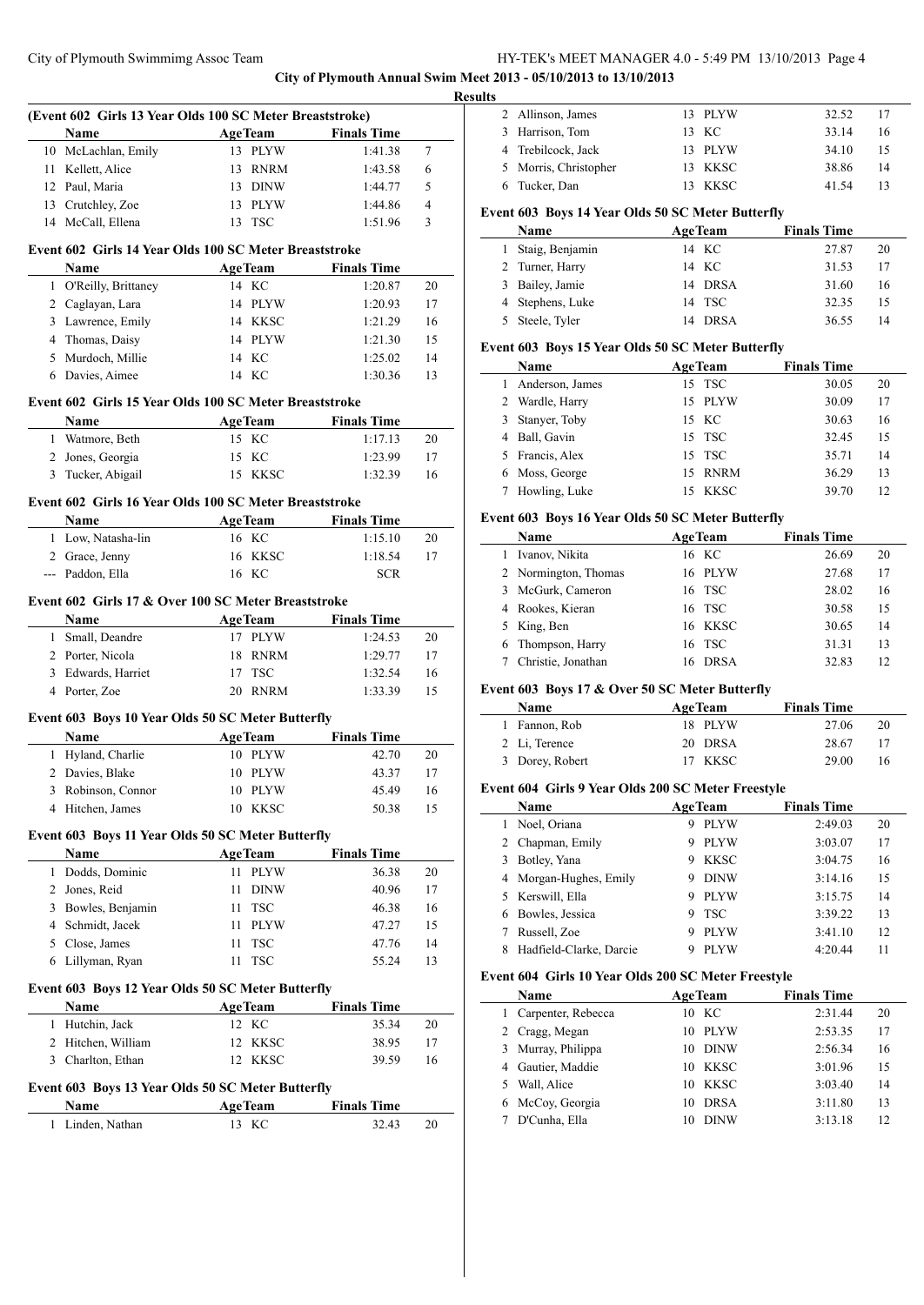**City of Plymouth Annual Swim Meet 2013 - 05/10/2013 to 13/10/2013**

 $\overline{\phantom{a}}$ 

 $\overline{\phantom{0}}$ 

|                | (Event 602 Girls 13 Year Olds 100 SC Meter Breaststroke) |                         |                             |    |
|----------------|----------------------------------------------------------|-------------------------|-----------------------------|----|
|                | Name                                                     | <b>AgeTeam</b>          | <b>Finals Time</b>          |    |
| 10             | McLachlan, Emily                                         | 13 PLYW                 | 1:41.38                     | 7  |
| 11             | Kellett, Alice                                           | 13<br>RNRM              | 1:43.58                     | 6  |
|                | 12 Paul, Maria                                           | 13 DINW                 | 1:44.77                     | 5  |
|                | 13 Crutchley, Zoe                                        | 13 PLYW                 | 1:44.86                     | 4  |
|                | 14 McCall, Ellena                                        | 13<br>TSC               | 1:51.96                     | 3  |
|                |                                                          |                         |                             |    |
|                | Event 602 Girls 14 Year Olds 100 SC Meter Breaststroke   |                         |                             |    |
|                | Name                                                     | AgeTeam                 | <b>Finals Time</b>          |    |
| 1              | O'Reilly, Brittaney                                      | 14 KC                   | 1:20.87                     | 20 |
|                | 2 Caglayan, Lara                                         | 14 PLYW                 | 1:20.93                     | 17 |
|                | 3 Lawrence, Emily                                        | 14 KKSC<br>14 PLYW      | 1:21.29                     | 16 |
|                | 4 Thomas, Daisy                                          |                         | 1:21.30                     | 15 |
|                | 5 Murdoch, Millie                                        | 14 KC                   | 1:25.02                     | 14 |
|                | 6 Davies, Aimee                                          | 14 KC                   | 1:30.36                     | 13 |
|                | Event 602 Girls 15 Year Olds 100 SC Meter Breaststroke   |                         |                             |    |
|                | Name                                                     | <b>AgeTeam</b>          | <b>Finals Time</b>          |    |
|                | 1 Watmore, Beth                                          | 15 KC                   | 1:17.13                     | 20 |
|                | 2 Jones, Georgia                                         | 15 KC                   | 1:23.99                     | 17 |
| 3              | Tucker, Abigail                                          | 15 KKSC                 | 1:32.39                     | 16 |
|                |                                                          |                         |                             |    |
|                | Event 602 Girls 16 Year Olds 100 SC Meter Breaststroke   |                         |                             |    |
|                | Name                                                     | <b>AgeTeam</b>          | <b>Finals Time</b>          |    |
|                | 1 Low, Natasha-lin                                       | 16 KC                   | 1:15.10                     | 20 |
|                | 2 Grace, Jenny                                           | 16 KKSC                 | 1:18.54                     | 17 |
|                | --- Paddon, Ella                                         | 16 KC                   | <b>SCR</b>                  |    |
|                | Event 602 Girls 17 & Over 100 SC Meter Breaststroke      |                         |                             |    |
|                | Name                                                     | <b>AgeTeam</b>          | <b>Finals Time</b>          |    |
| 1              | Small, Deandre                                           | 17 PLYW                 | 1:24.53                     | 20 |
|                | 2 Porter, Nicola                                         | 18<br>RNRM              | 1:29.77                     | 17 |
| 3              | Edwards, Harriet                                         | 17<br><b>TSC</b>        | 1:32.54                     | 16 |
|                | 4 Porter, Zoe                                            | 20 RNRM                 | 1:33.39                     | 15 |
|                |                                                          |                         |                             |    |
|                | Event 603 Boys 10 Year Olds 50 SC Meter Butterfly        |                         |                             |    |
|                | Name                                                     | <b>AgeTeam</b>          | <b>Finals Time</b>          |    |
| 1              | Hyland, Charlie                                          | 10 PLYW                 | 42.70                       | 20 |
|                | 2 Davies, Blake                                          | 10 PLYW                 | 43.37                       | 17 |
| 3              | Robinson, Connor                                         | 10 PLYW                 | 45.49                       | 16 |
|                | 4 Hitchen, James                                         | 10 KKSC                 | 50.38                       | 15 |
|                | Event 603 Boys 11 Year Olds 50 SC Meter Butterfly        |                         |                             |    |
|                | Name                                                     | <b>AgeTeam</b>          | <b>Finals Time</b>          |    |
| 1              | Dodds, Dominic                                           | <b>PLYW</b><br>11.      | 36.38                       | 20 |
| $\overline{2}$ | Jones, Reid                                              | 11<br><b>DINW</b>       | 40.96                       | 17 |
| 3              | Bowles, Benjamin                                         | <b>TSC</b><br>11        | 46.38                       | 16 |
| $\overline{4}$ | Schmidt, Jacek                                           | 11<br><b>PLYW</b>       | 47.27                       | 15 |
|                | 5 Close, James                                           | 11<br>TSC               | 47.76                       | 14 |
| 6              | Lillyman, Ryan                                           | <b>TSC</b><br>11        | 55.24                       | 13 |
|                |                                                          |                         |                             |    |
|                | Event 603 Boys 12 Year Olds 50 SC Meter Butterfly        |                         |                             |    |
|                | Name                                                     | <b>AgeTeam</b>          | <b>Finals Time</b>          |    |
| 1              | Hutchin, Jack                                            | 12 KC                   | 35.34                       | 20 |
|                | 2 Hitchen, William                                       | 12 KKSC                 | 38.95                       | 17 |
|                | 3 Charlton, Ethan                                        | 12 KKSC                 | 39.59                       | 16 |
|                | Event 603 Boys 13 Year Olds 50 SC Meter Butterfly        |                         |                             |    |
|                |                                                          |                         |                             |    |
|                |                                                          |                         |                             |    |
| 1              | Name<br>Linden, Nathan                                   | <b>AgeTeam</b><br>13 KC | <b>Finals Time</b><br>32.43 | 20 |

| <b>Results</b> |                       |         |       |    |
|----------------|-----------------------|---------|-------|----|
|                | 2 Allinson, James     | 13 PLYW | 32.52 | 17 |
|                | 3 Harrison, Tom       | 13 KC   | 33.14 | 16 |
|                | 4 Trebilcock, Jack    | 13 PLYW | 34.10 | 15 |
|                | 5 Morris, Christopher | 13 KKSC | 38.86 | 14 |
|                | 6 Tucker, Dan         | 13 KKSC | 41 54 | 13 |
|                |                       |         |       |    |

# **Event 603 Boys 14 Year Olds 50 SC Meter Butterfly**

| Name              | <b>AgeTeam</b>    | <b>Finals Time</b> |    |
|-------------------|-------------------|--------------------|----|
| 1 Staig, Benjamin | 14 KC             | 27.87              | 20 |
| 2 Turner, Harry   | 14 KC             | 31.53              | 17 |
| 3 Bailey, Jamie   | 14 DRSA           | 31.60              | 16 |
| 4 Stephens, Luke  | 14 TSC            | 32.35              | 15 |
| 5 Steele, Tyler   | <b>DRSA</b><br>14 | 36.55              | 14 |

## **Event 603 Boys 15 Year Olds 50 SC Meter Butterfly**

|    | <b>Name</b>     | <b>AgeTeam</b>     | <b>Finals Time</b> |  |
|----|-----------------|--------------------|--------------------|--|
| I. | Anderson, James | 15 TSC             | 20<br>30.05        |  |
|    | 2 Wardle, Harry | 15 PLYW            | 30.09<br>17        |  |
|    | 3 Stanyer, Toby | 15 KC              | 30.63<br>16        |  |
| 4  | Ball, Gavin     | 15 TSC             | 32.45<br>15        |  |
|    | 5 Francis, Alex | 15 TSC             | 35.71<br>14        |  |
|    | 6 Moss, George  | <b>RNRM</b><br>15. | 36.29<br>13        |  |
|    | Howling, Luke   | <b>KKSC</b>        | 39.70<br>12        |  |

### **Event 603 Boys 16 Year Olds 50 SC Meter Butterfly**

|   | <b>Name</b>          | <b>AgeTeam</b>    | <b>Finals Time</b> |    |
|---|----------------------|-------------------|--------------------|----|
| L | Ivanov, Nikita       | 16 KC             | 26.69              | 20 |
|   | 2 Normington, Thomas | 16 PLYW           | 27.68              | 17 |
|   | 3 McGurk, Cameron    | 16 TSC            | 28.02              | 16 |
|   | 4 Rookes, Kieran     | 16 TSC            | 30.58              | 15 |
|   | 5 King, Ben          | 16 KKSC           | 30.65              | 14 |
|   | 6 Thompson, Harry    | 16 TSC            | 31.31              | 13 |
|   | Christie, Jonathan   | <b>DRSA</b><br>16 | 32.83              | 12 |

### **Event 603 Boys 17 & Over 50 SC Meter Butterfly**

| <b>Name</b>     | <b>AgeTeam</b> | <b>Finals Time</b> |    |
|-----------------|----------------|--------------------|----|
| 1 Fannon, Rob   | 18 PLYW        | 27.06              | 20 |
| 2 Li, Terence   | 20 DRSA        | 28.67              | 17 |
| 3 Dorey, Robert | 17 KKSC        | 29.00              | 16 |

## **Event 604 Girls 9 Year Olds 200 SC Meter Freestyle**

|   | Name                    | <b>AgeTeam</b>   | <b>Finals Time</b> |    |
|---|-------------------------|------------------|--------------------|----|
|   | Noel, Oriana            | <b>PLYW</b><br>9 | 2:49.03            | 20 |
| 2 | Chapman, Emily          | <b>PLYW</b><br>9 | 3:03.07            | 17 |
| 3 | Botley, Yana            | <b>KKSC</b><br>9 | 3:04.75            | 16 |
|   | 4 Morgan-Hughes, Emily  | <b>DINW</b><br>9 | 3:14.16            | 15 |
|   | 5 Kerswill, Ella        | <b>PLYW</b><br>9 | 3:15.75            | 14 |
| 6 | Bowles, Jessica         | <b>TSC</b><br>9  | 3:39.22            | 13 |
|   | Russell, Zoe            | <b>PLYW</b><br>9 | 3:41.10            | 12 |
| 8 | Hadfield-Clarke, Darcie | <b>PLYW</b><br>9 | 4:20.44            | 11 |

#### **Event 604 Girls 10 Year Olds 200 SC Meter Freestyle**

|    | Name               | <b>AgeTeam</b>    | <b>Finals Time</b> |    |
|----|--------------------|-------------------|--------------------|----|
| L  | Carpenter, Rebecca | $10 \text{ KC}$   | 2:31.44            | 20 |
|    | 2 Cragg, Megan     | PLYW<br>10        | 2:53.35            | 17 |
|    | 3 Murray, Philippa | <b>DINW</b><br>10 | 2:56.34            | 16 |
|    | 4 Gautier, Maddie  | KKSC<br>10        | 3:01.96            | 15 |
| 5. | Wall, Alice        | KKSC<br>10        | 3:03.40            | 14 |
|    | 6 McCoy, Georgia   | <b>DRSA</b><br>10 | 3:11.80            | 13 |
|    | D'Cunha, Ella      | <b>DINW</b>       | 3:13.18            | 12 |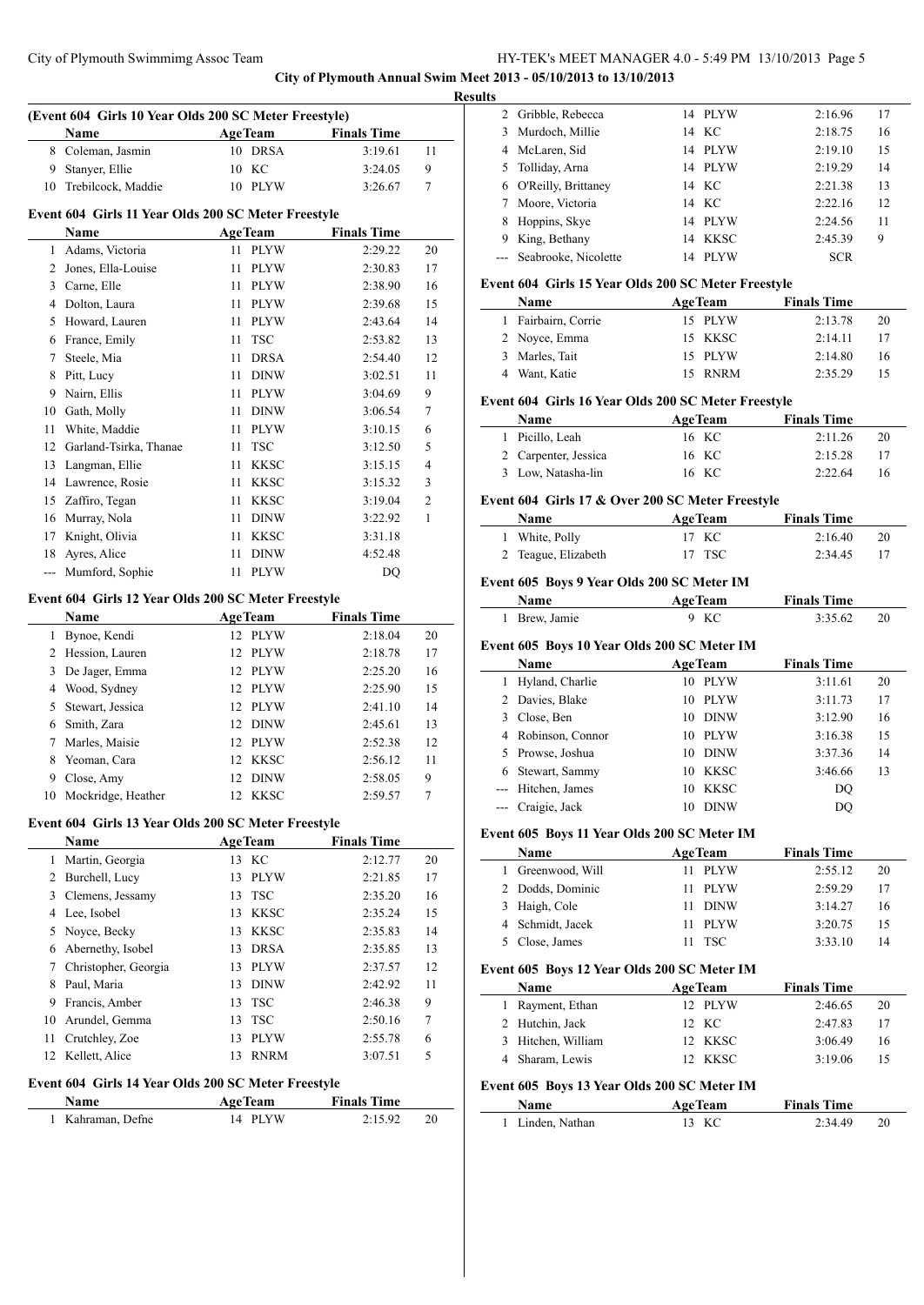**City of Plymouth Annual Swim Meet 2013 - 05/10/2013 to 13/10/2013**

|                | (Event 604 Girls 10 Year Olds 200 SC Meter Freestyle)       |                     |                    |    |
|----------------|-------------------------------------------------------------|---------------------|--------------------|----|
|                | Name                                                        | <b>AgeTeam</b>      | <b>Finals Time</b> |    |
| 8              | Coleman, Jasmin                                             | 10 DRSA             | 3:19.61            | 11 |
| 9              | Stanyer, Ellie                                              | 10 KC               | 3:24.05            | 9  |
| 10             | Trebilcock, Maddie                                          | 10 PLYW             | 3:26.67            | 7  |
|                | Event 604 Girls 11 Year Olds 200 SC Meter Freestyle         |                     |                    |    |
|                | Name                                                        | <b>AgeTeam</b>      | <b>Finals Time</b> |    |
| $\mathbf{1}$   | Adams, Victoria                                             | <b>PLYW</b><br>11 - | 2:29.22            | 20 |
| $\overline{2}$ | Jones, Ella-Louise                                          | 11<br><b>PLYW</b>   | 2:30.83            | 17 |
| 3              | Carne, Elle                                                 | <b>PLYW</b><br>11   | 2:38.90            | 16 |
| 4              | Dolton, Laura                                               | <b>PLYW</b><br>11   | 2:39.68            | 15 |
| 5              | Howard, Lauren                                              | <b>PLYW</b><br>11   | 2:43.64            | 14 |
| 6              | France, Emily                                               | 11<br>TSC           | 2:53.82            | 13 |
| 7              | Steele, Mia                                                 | <b>DRSA</b><br>11   | 2:54.40            | 12 |
| 8              | Pitt, Lucy                                                  | <b>DINW</b><br>11   | 3:02.51            | 11 |
| 9              | Nairn, Ellis                                                | 11 PLYW             | 3:04.69            | 9  |
| 10             | Gath, Molly                                                 | <b>DINW</b><br>11   | 3:06.54            | 7  |
| 11             | White, Maddie                                               | <b>PLYW</b><br>11   | 3:10.15            | 6  |
| 12             | Garland-Tsirka, Thanae                                      | 11<br><b>TSC</b>    | 3:12.50            | 5  |
| 13             | Langman, Ellie                                              | <b>KKSC</b><br>11   | 3:15.15            | 4  |
|                | 14 Lawrence, Rosie                                          | <b>KKSC</b><br>11   | 3:15.32            | 3  |
| 15             | Zaffiro, Tegan                                              | 11<br><b>KKSC</b>   | 3:19.04            | 2  |
| 16             | Murray, Nola                                                | <b>DINW</b><br>11   | 3:22.92            | 1  |
| 17             | Knight, Olivia                                              | 11<br>KKSC          | 3:31.18            |    |
| 18             | Ayres, Alice                                                | 11<br><b>DINW</b>   | 4:52.48            |    |
| $\overline{a}$ | Mumford, Sophie                                             | <b>PLYW</b><br>11   | DQ                 |    |
|                | Event 604 Girls 12 Year Olds 200 SC Meter Freestyle<br>Name | <b>AgeTeam</b>      | <b>Finals Time</b> |    |
| 1              | Bynoe, Kendi                                                | 12 PLYW             | 2:18.04            | 20 |
| 2              | Hession, Lauren                                             | 12 PLYW             | 2:18.78            | 17 |
| 3              | De Jager, Emma                                              | 12 PLYW             | 2:25.20            | 16 |
| 4              | Wood, Sydney                                                | 12 PLYW             | 2:25.90            | 15 |
| 5              | Stewart, Jessica                                            | 12 PLYW             | 2:41.10            | 14 |
| 6              | Smith, Zara                                                 | 12 DINW             | 2:45.61            | 13 |
| 7              | Marles, Maisie                                              | 12 PLYW             | 2:52.38            | 12 |
| 8              | Yeoman, Cara                                                | 12<br><b>KKSC</b>   | 2:56.12            | 11 |
| 9              | Close, Amy                                                  | 12<br><b>DINW</b>   | 2:58.05            | 9  |
|                | 10 Mockridge, Heather                                       | 12 KKSC             | 2:59.57            | 7  |
|                | Event 604 Girls 13 Year Olds 200 SC Meter Freestyle         |                     |                    |    |
|                | Name                                                        | <b>AgeTeam</b>      | <b>Finals Time</b> |    |
| $\mathbf{1}$   | Martin, Georgia                                             | 13 KC               | 2:12.77            | 20 |
| 2              | Burchell, Lucy                                              | 13<br><b>PLYW</b>   | 2:21.85            | 17 |
| 3              | Clemens, Jessamy                                            | <b>TSC</b><br>13    | 2:35.20            | 16 |
| 4              | Lee, Isobel                                                 | <b>KKSC</b><br>13   | 2:35.24            | 15 |
| 5              | Noyce, Becky                                                | <b>KKSC</b><br>13   | 2:35.83            | 14 |
| 6              | Abernethy, Isobel                                           | <b>DRSA</b><br>13   | 2:35.85            | 13 |
| 7              | Christopher, Georgia                                        | <b>PLYW</b><br>13   | 2:37.57            | 12 |
| 8              | Paul, Maria                                                 | <b>DINW</b><br>13   | 2:42.92            | 11 |
| 9              | Francis, Amber                                              | <b>TSC</b><br>13    | 2:46.38            | 9  |
| 10             | Arundel, Gemma                                              | <b>TSC</b><br>13    | 2:50.16            | 7  |
| 11             | Crutchley, Zoe                                              | <b>PLYW</b><br>13   | 2:55.78            | 6  |
| 12             | Kellett, Alice                                              | 13<br><b>RNRM</b>   | 3:07.51            | 5  |
|                | Event 604 Girls 14 Year Olds 200 SC Meter Freestyle         |                     |                    |    |
|                | Name                                                        | <b>AgeTeam</b>      | <b>Finals Time</b> |    |
|                | 1 Kahraman, Defne                                           | 14 PLYW             | 2:15.92            | 20 |
|                |                                                             |                     |                    |    |

| v |                          |    |             |            |    |
|---|--------------------------|----|-------------|------------|----|
|   | 2 Gribble, Rebecca       |    | 14 PLYW     | 2:16.96    | 17 |
| 3 | Murdoch, Millie          |    | 14 KC       | 2:18.75    | 16 |
| 4 | McLaren, Sid             | 14 | PLYW        | 2:19.10    | 15 |
| 5 | Tolliday, Arna           |    | 14 PLYW     | 2:19.29    | 14 |
| 6 | O'Reilly, Brittaney      |    | 14 KC       | 2:21.38    | 13 |
|   | Moore, Victoria          |    | 14 KC       | 2:22.16    | 12 |
| 8 | Hoppins, Skye            | 14 | PLYW        | 2:24.56    | 11 |
| 9 | King, Bethany            | 14 | <b>KKSC</b> | 2:45.39    | 9  |
|   | --- Seabrooke, Nicolette | 14 | <b>PLYW</b> | <b>SCR</b> |    |

## **Event 604 Girls 15 Year Olds 200 SC Meter Freestyle**

| <b>Name</b>         | <b>AgeTeam</b> | <b>Finals Time</b> |    |
|---------------------|----------------|--------------------|----|
| 1 Fairbairn, Corrie | 15 PLYW        | 2:13.78            | 20 |
| 2 Noyce, Emma       | 15 KKSC        | 2:14.11            | 17 |
| 3 Marles, Tait      | 15 PLYW        | 2:14.80            | 16 |
| 4 Want, Katie       | 15 RNRM        | 2:35.29            |    |

## **Event 604 Girls 16 Year Olds 200 SC Meter Freestyle**

| <b>Name</b>          | <b>AgeTeam</b> | <b>Finals Time</b> |    |
|----------------------|----------------|--------------------|----|
| 1 Picillo, Leah      | 16 KC          | 2:11.26            | 20 |
| 2 Carpenter, Jessica | 16 KC          | 2:15.28            | 17 |
| 3 Low, Natasha-lin   | 16 KC          | 2:22.64            | 16 |

#### **Event 604 Girls 17 & Over 200 SC Meter Freestyle**

| <b>Name</b>         | <b>AgeTeam</b> | <b>Finals Time</b> |    |
|---------------------|----------------|--------------------|----|
| 1 White, Polly      | 17 KC          | 2:16.40            | 20 |
| 2 Teague, Elizabeth | 17 TSC         | 2:34.45            |    |

# **Event 605 Boys 9 Year Olds 200 SC Meter IM**

| <b>Name</b>   | <b>AgeTeam</b> | <b>Finals Time</b> |  |
|---------------|----------------|--------------------|--|
| 1 Brew, Jamie | 9 KC           | 3:35.62            |  |

# **Event 605 Boys 10 Year Olds 200 SC Meter IM**

|   | <b>Name</b>        | <b>AgeTeam</b>    | <b>Finals Time</b> |    |
|---|--------------------|-------------------|--------------------|----|
|   | 1 Hyland, Charlie  | PLYW<br>10        | 3:11.61            | 20 |
|   | 2 Davies, Blake    | <b>PLYW</b><br>10 | 3:11.73            | 17 |
| 3 | Close, Ben         | <b>DINW</b><br>10 | 3:12.90            | 16 |
|   | 4 Robinson, Connor | <b>PLYW</b><br>10 | 3:16.38            | 15 |
|   | 5 Prowse, Joshua   | <b>DINW</b><br>10 | 3:37.36            | 14 |
|   | 6 Stewart, Sammy   | KKSC<br>10        | 3:46.66            | 13 |
|   | --- Hitchen, James | KKSC<br>10        | DO                 |    |
|   | --- Craigie, Jack  | <b>DINW</b><br>10 | DO                 |    |

### **Event 605 Boys 11 Year Olds 200 SC Meter IM**

| <b>Name</b><br><b>AgeTeam</b> |         | <b>Finals Time</b> |    |
|-------------------------------|---------|--------------------|----|
| 1 Greenwood, Will             | - PLYW  | 2:55.12            | 20 |
| 2 Dodds, Dominic              | 11 PLYW | 2:59.29            | 17 |
| 3 Haigh, Cole                 | 11 DINW | 3:14.27            | 16 |
| 4 Schmidt, Jacek              | 11 PLYW | 3:20.75            | 15 |
| 5 Close, James                | - TSC   | 3:33.10            | 14 |

#### **Event 605 Boys 12 Year Olds 200 SC Meter IM**

| Name                                        |                    | <b>AgeTeam</b> |                | <b>Finals Time</b> |    |  |  |
|---------------------------------------------|--------------------|----------------|----------------|--------------------|----|--|--|
|                                             | 1 Rayment, Ethan   |                | 12 PLYW        | 2:46.65            | 20 |  |  |
|                                             | 2 Hutchin, Jack    |                | 12 KC          | 2:47.83            | 17 |  |  |
|                                             | 3 Hitchen, William |                | 12 KKSC        | 3:06.49            | 16 |  |  |
|                                             | 4 Sharam, Lewis    |                | 12 KKSC        | 3:19.06            | 15 |  |  |
| Event 605 Boys 13 Year Olds 200 SC Meter IM |                    |                |                |                    |    |  |  |
| Name                                        |                    |                | <b>AgeTeam</b> | <b>Finals Time</b> |    |  |  |

| ташс             | лес геаш | тинав типе |  |
|------------------|----------|------------|--|
| 1 Linden, Nathan | 13 KC    | 2:34.49    |  |